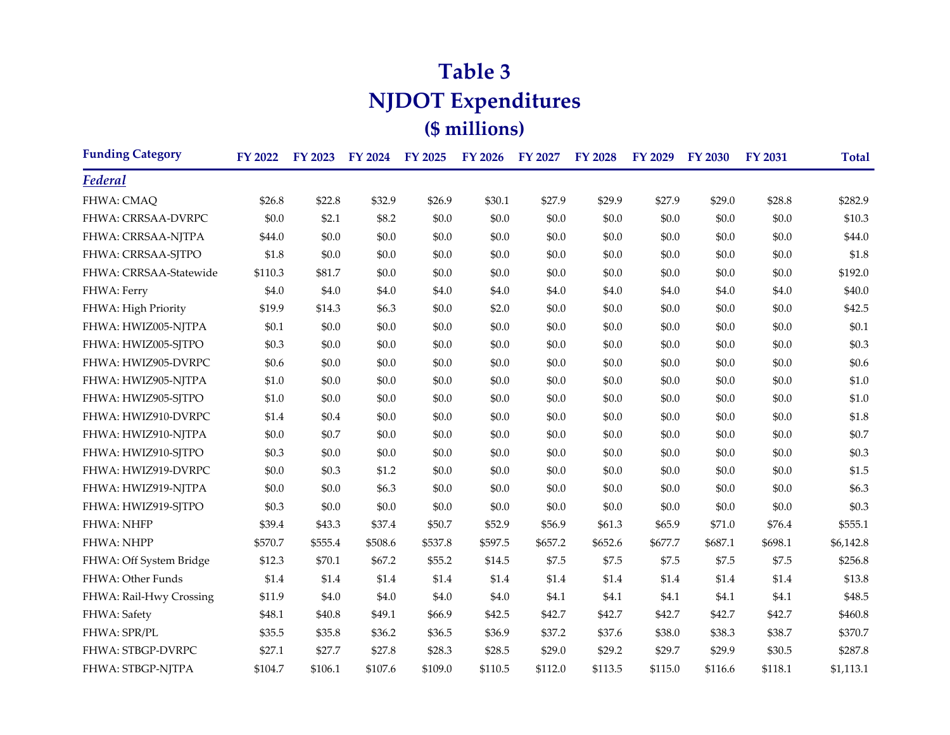## **Table 3 NJDOT Expenditures (\$ millions)**

| <b>Funding Category</b> | <b>FY 2022</b> | <b>FY 2023</b> | <b>FY 2024</b> | <b>FY 2025</b> | <b>FY 2026</b> | FY 2027 | <b>FY 2028</b> | <b>FY 2029</b> | <b>FY 2030</b> | <b>FY 2031</b> | <b>Total</b> |
|-------------------------|----------------|----------------|----------------|----------------|----------------|---------|----------------|----------------|----------------|----------------|--------------|
| Federal                 |                |                |                |                |                |         |                |                |                |                |              |
| FHWA: CMAQ              | \$26.8         | \$22.8         | \$32.9         | \$26.9         | \$30.1         | \$27.9  | \$29.9         | \$27.9         | \$29.0         | \$28.8         | \$282.9      |
| FHWA: CRRSAA-DVRPC      | \$0.0          | \$2.1          | \$8.2          | \$0.0          | \$0.0          | \$0.0   | \$0.0          | \$0.0          | \$0.0          | \$0.0          | \$10.3       |
| FHWA: CRRSAA-NJTPA      | \$44.0         | \$0.0          | \$0.0          | \$0.0          | \$0.0          | \$0.0   | \$0.0          | \$0.0          | \$0.0          | \$0.0          | \$44.0       |
| FHWA: CRRSAA-SJTPO      | \$1.8          | \$0.0          | \$0.0          | \$0.0          | \$0.0          | \$0.0   | \$0.0          | \$0.0          | \$0.0          | \$0.0          | \$1.8        |
| FHWA: CRRSAA-Statewide  | \$110.3        | \$81.7         | \$0.0          | \$0.0          | \$0.0          | \$0.0   | \$0.0          | \$0.0          | \$0.0          | \$0.0          | \$192.0      |
| FHWA: Ferry             | \$4.0          | \$4.0          | \$4.0          | \$4.0          | \$4.0          | \$4.0   | \$4.0          | \$4.0          | \$4.0          | \$4.0          | \$40.0       |
| FHWA: High Priority     | \$19.9         | \$14.3         | \$6.3          | \$0.0          | \$2.0          | \$0.0   | \$0.0          | \$0.0          | \$0.0          | \$0.0          | \$42.5       |
| FHWA: HWIZ005-NJTPA     | \$0.1          | \$0.0          | \$0.0          | \$0.0          | \$0.0          | \$0.0   | \$0.0          | \$0.0          | \$0.0          | \$0.0          | \$0.1        |
| FHWA: HWIZ005-SJTPO     | \$0.3          | \$0.0          | \$0.0          | \$0.0          | \$0.0          | \$0.0   | \$0.0          | \$0.0          | \$0.0          | \$0.0          | \$0.3\$      |
| FHWA: HWIZ905-DVRPC     | \$0.6          | \$0.0          | \$0.0          | \$0.0          | \$0.0          | \$0.0   | \$0.0          | \$0.0          | \$0.0          | \$0.0          | \$0.6        |
| FHWA: HWIZ905-NJTPA     | \$1.0          | \$0.0          | \$0.0          | \$0.0          | \$0.0          | \$0.0   | \$0.0          | \$0.0          | \$0.0          | \$0.0          | \$1.0        |
| FHWA: HWIZ905-SJTPO     | \$1.0          | \$0.0          | \$0.0          | \$0.0          | \$0.0          | \$0.0   | \$0.0          | \$0.0          | \$0.0          | \$0.0          | \$1.0        |
| FHWA: HWIZ910-DVRPC     | \$1.4          | \$0.4          | \$0.0          | \$0.0          | \$0.0          | \$0.0   | \$0.0          | \$0.0          | \$0.0          | \$0.0          | \$1.8        |
| FHWA: HWIZ910-NJTPA     | \$0.0          | \$0.7          | \$0.0          | \$0.0          | \$0.0          | \$0.0   | \$0.0          | \$0.0          | \$0.0          | \$0.0          | \$0.7        |
| FHWA: HWIZ910-SJTPO     | \$0.3          | \$0.0          | \$0.0          | \$0.0          | \$0.0          | \$0.0   | \$0.0          | \$0.0          | \$0.0          | \$0.0          | \$0.3\$      |
| FHWA: HWIZ919-DVRPC     | \$0.0          | \$0.3          | \$1.2          | \$0.0          | \$0.0          | \$0.0   | \$0.0          | \$0.0          | \$0.0          | \$0.0          | \$1.5        |
| FHWA: HWIZ919-NJTPA     | \$0.0          | \$0.0          | \$6.3          | \$0.0          | \$0.0          | \$0.0   | \$0.0          | \$0.0          | \$0.0          | \$0.0          | \$6.3\$      |
| FHWA: HWIZ919-SJTPO     | \$0.3          | \$0.0          | \$0.0          | \$0.0          | \$0.0          | \$0.0   | \$0.0          | \$0.0          | \$0.0          | \$0.0          | \$0.3\$      |
| FHWA: NHFP              | \$39.4         | \$43.3         | \$37.4         | \$50.7         | \$52.9         | \$56.9  | \$61.3         | \$65.9         | \$71.0         | \$76.4         | \$555.1      |
| FHWA: NHPP              | \$570.7        | \$555.4        | \$508.6        | \$537.8        | \$597.5        | \$657.2 | \$652.6        | \$677.7        | \$687.1        | \$698.1        | \$6,142.8    |
| FHWA: Off System Bridge | \$12.3         | \$70.1         | \$67.2         | \$55.2         | \$14.5         | \$7.5   | \$7.5          | \$7.5          | \$7.5          | \$7.5          | \$256.8      |
| FHWA: Other Funds       | \$1.4          | \$1.4          | \$1.4          | \$1.4          | \$1.4          | \$1.4   | \$1.4          | \$1.4          | \$1.4          | \$1.4          | \$13.8       |
| FHWA: Rail-Hwy Crossing | \$11.9         | \$4.0          | \$4.0          | \$4.0          | \$4.0          | \$4.1   | \$4.1          | \$4.1          | \$4.1          | \$4.1          | \$48.5       |
| FHWA: Safety            | \$48.1         | \$40.8         | \$49.1         | \$66.9         | \$42.5         | \$42.7  | \$42.7         | \$42.7         | \$42.7         | \$42.7         | \$460.8      |
| FHWA: SPR/PL            | \$35.5         | \$35.8         | \$36.2         | \$36.5         | \$36.9         | \$37.2  | \$37.6         | \$38.0         | \$38.3         | \$38.7         | \$370.7      |
| FHWA: STBGP-DVRPC       | \$27.1         | \$27.7         | \$27.8         | \$28.3         | \$28.5         | \$29.0  | \$29.2         | \$29.7         | \$29.9         | \$30.5         | \$287.8      |
| FHWA: STBGP-NJTPA       | \$104.7        | \$106.1        | \$107.6        | \$109.0        | \$110.5        | \$112.0 | \$113.5        | \$115.0        | \$116.6        | \$118.1        | \$1,113.1    |